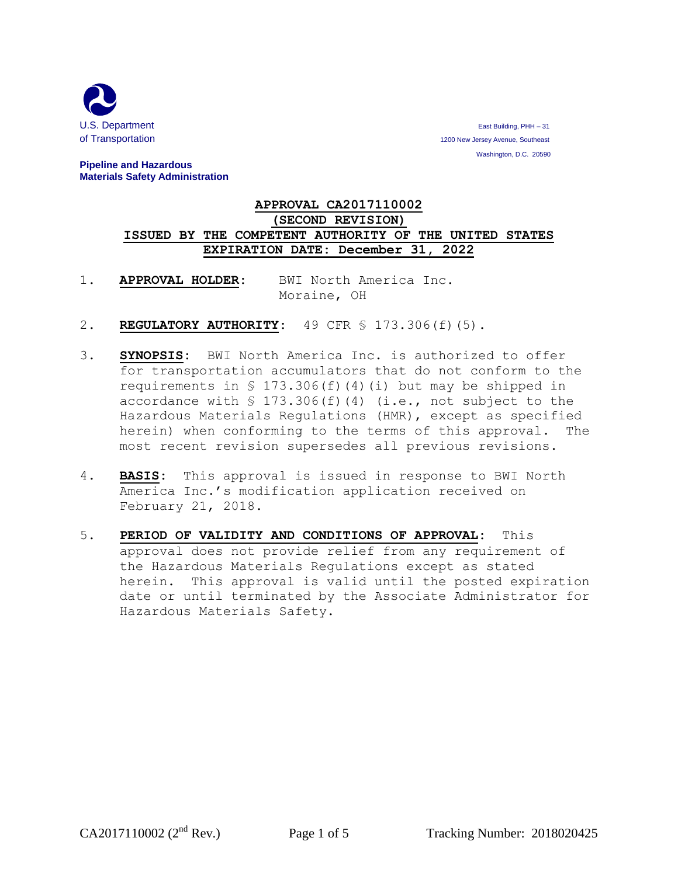

**U.S. Department** East Building, PHH – 31 of Transportation 1200 New Jersey Avenue, Southeast 1200 New Jersey Avenue, Southeast Washington, D.C. 20590

## **Pipeline and Hazardous Materials Safety Administration**

## **APPROVAL CA2017110002 (SECOND REVISION) ISSUED BY THE COMPETENT AUTHORITY OF THE UNITED STATES EXPIRATION DATE: December 31, 2022**

- 1. **APPROVAL HOLDER:** BWI North America Inc. Moraine, OH
- 2. **REGULATORY AUTHORITY:** 49 CFR § 173.306(f)(5).
- 3. **SYNOPSIS:** BWI North America Inc. is authorized to offer for transportation accumulators that do not conform to the requirements in  $\S$  173.306(f)(4)(i) but may be shipped in accordance with § 173.306(f)(4) (i.e., not subject to the Hazardous Materials Regulations (HMR), except as specified herein) when conforming to the terms of this approval. The most recent revision supersedes all previous revisions.
- 4. **BASIS:** This approval is issued in response to BWI North America Inc.'s modification application received on February 21, 2018.
- 5. **PERIOD OF VALIDITY AND CONDITIONS OF APPROVAL:** This approval does not provide relief from any requirement of the Hazardous Materials Regulations except as stated herein. This approval is valid until the posted expiration date or until terminated by the Associate Administrator for Hazardous Materials Safety.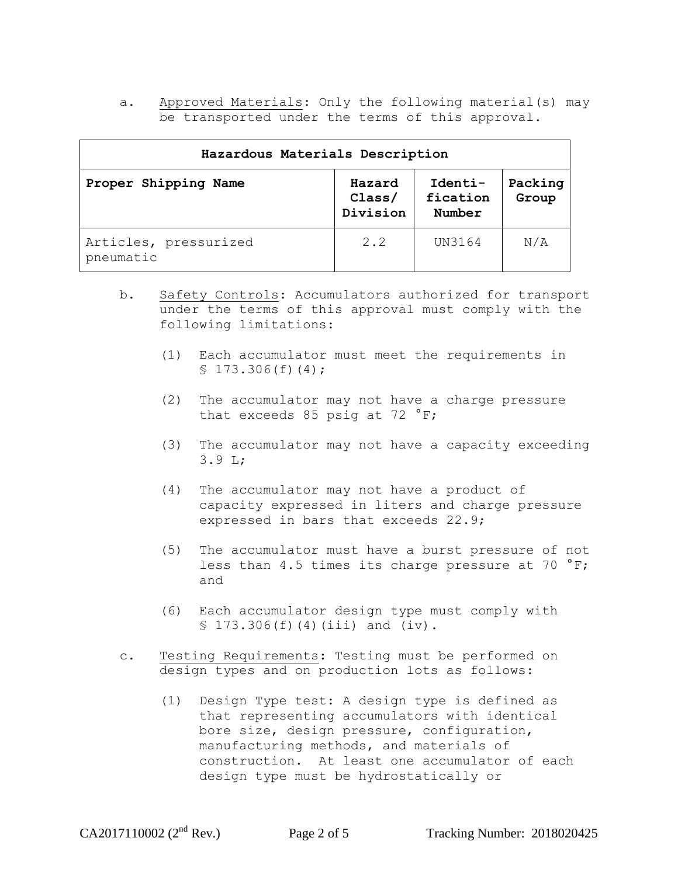a. Approved Materials: Only the following material(s) may be transported under the terms of this approval.

| Hazardous Materials Description    |                              |                               |                  |
|------------------------------------|------------------------------|-------------------------------|------------------|
| Proper Shipping Name               | Hazard<br>Class/<br>Division | Identi-<br>fication<br>Number | Packing<br>Group |
| Articles, pressurized<br>pneumatic | 2.2                          | UN3164                        | N/A              |

- b. Safety Controls: Accumulators authorized for transport under the terms of this approval must comply with the following limitations:
	- (1) Each accumulator must meet the requirements in  $$173.306(f)(4);$
	- (2) The accumulator may not have a charge pressure that exceeds 85 psig at 72 °F;
	- (3) The accumulator may not have a capacity exceeding 3.9 L;
	- (4) The accumulator may not have a product of capacity expressed in liters and charge pressure expressed in bars that exceeds 22.9;
	- (5) The accumulator must have a burst pressure of not less than 4.5 times its charge pressure at 70  $\degree$ F; and
	- (6) Each accumulator design type must comply with  $$173.306(f)(4)(iii) and (iv).$
- c. Testing Requirements: Testing must be performed on design types and on production lots as follows:
	- (1) Design Type test: A design type is defined as that representing accumulators with identical bore size, design pressure, configuration, manufacturing methods, and materials of construction. At least one accumulator of each design type must be hydrostatically or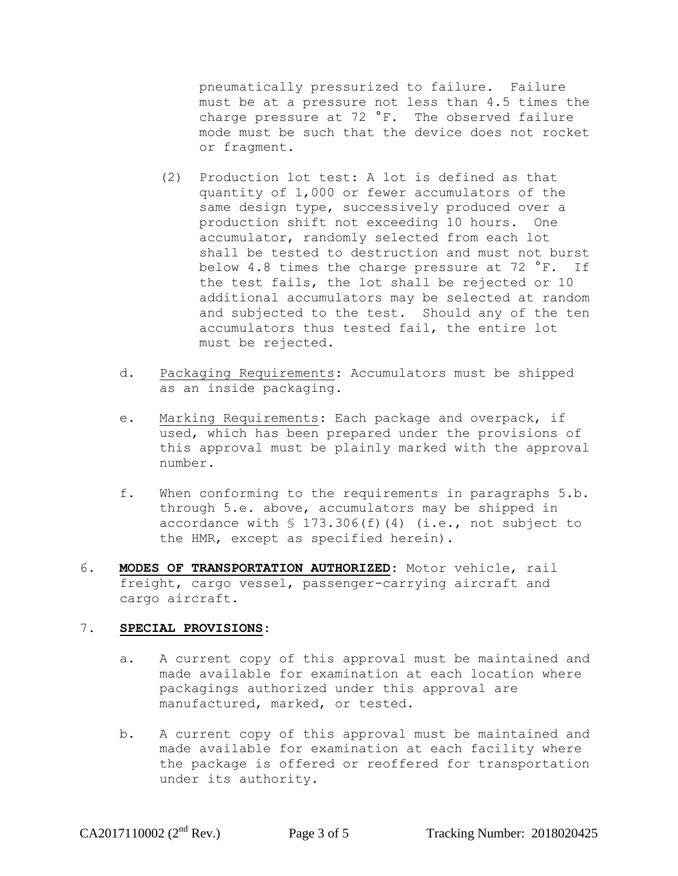pneumatically pressurized to failure. Failure must be at a pressure not less than 4.5 times the charge pressure at 72 °F. The observed failure mode must be such that the device does not rocket or fragment.

- (2) Production lot test: A lot is defined as that quantity of 1,000 or fewer accumulators of the same design type, successively produced over a production shift not exceeding 10 hours. One accumulator, randomly selected from each lot shall be tested to destruction and must not burst below 4.8 times the charge pressure at 72 °F. If the test fails, the lot shall be rejected or 10 additional accumulators may be selected at random and subjected to the test. Should any of the ten accumulators thus tested fail, the entire lot must be rejected.
- d. Packaging Requirements: Accumulators must be shipped as an inside packaging.
- e. Marking Requirements: Each package and overpack, if used, which has been prepared under the provisions of this approval must be plainly marked with the approval number.
- f. When conforming to the requirements in paragraphs 5.b. through 5.e. above, accumulators may be shipped in accordance with  $$ 173.306(f)(4)$  (i.e., not subject to the HMR, except as specified herein).
- 6. **MODES OF TRANSPORTATION AUTHORIZED:** Motor vehicle, rail freight, cargo vessel, passenger-carrying aircraft and cargo aircraft.

## 7. **SPECIAL PROVISIONS:**

- a. A current copy of this approval must be maintained and made available for examination at each location where packagings authorized under this approval are manufactured, marked, or tested.
- b. A current copy of this approval must be maintained and made available for examination at each facility where the package is offered or reoffered for transportation under its authority.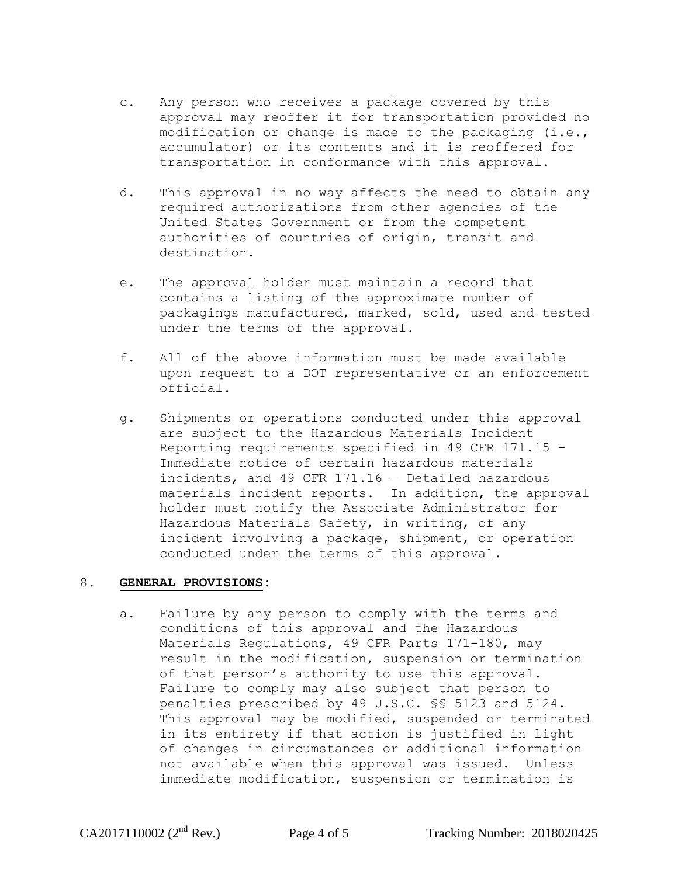- c. Any person who receives a package covered by this approval may reoffer it for transportation provided no modification or change is made to the packaging (i.e., accumulator) or its contents and it is reoffered for transportation in conformance with this approval.
- d. This approval in no way affects the need to obtain any required authorizations from other agencies of the United States Government or from the competent authorities of countries of origin, transit and destination.
- e. The approval holder must maintain a record that contains a listing of the approximate number of packagings manufactured, marked, sold, used and tested under the terms of the approval.
- f. All of the above information must be made available upon request to a DOT representative or an enforcement official.
- g. Shipments or operations conducted under this approval are subject to the Hazardous Materials Incident Reporting requirements specified in 49 CFR 171.15 – Immediate notice of certain hazardous materials incidents, and 49 CFR 171.16 – Detailed hazardous materials incident reports. In addition, the approval holder must notify the Associate Administrator for Hazardous Materials Safety, in writing, of any incident involving a package, shipment, or operation conducted under the terms of this approval.

## 8. **GENERAL PROVISIONS:**

a. Failure by any person to comply with the terms and conditions of this approval and the Hazardous Materials Regulations, 49 CFR Parts 171-180, may result in the modification, suspension or termination of that person's authority to use this approval. Failure to comply may also subject that person to penalties prescribed by 49 U.S.C. §§ 5123 and 5124. This approval may be modified, suspended or terminated in its entirety if that action is justified in light of changes in circumstances or additional information not available when this approval was issued. Unless immediate modification, suspension or termination is